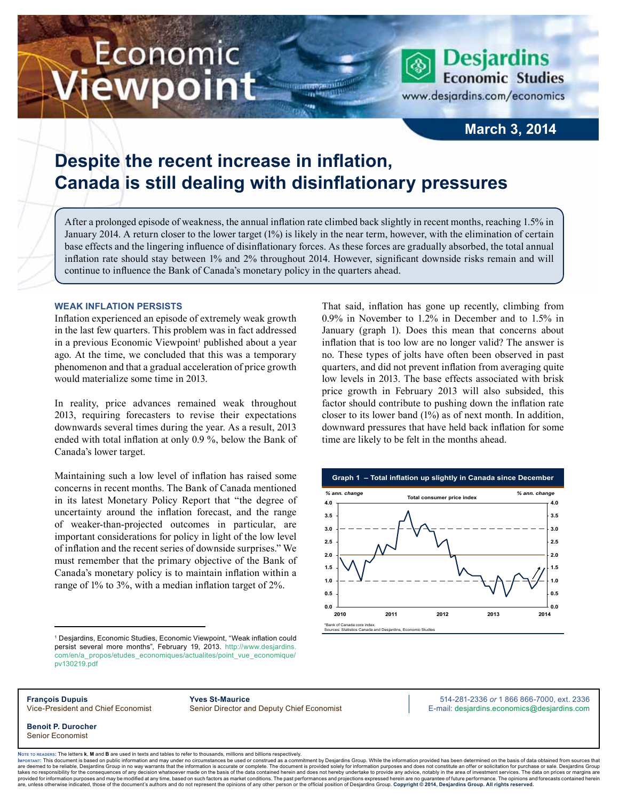# Economic ewpoint

www.desjardins.com/economics

**Desjardins Economic Studies** 

### **March 3, 2014**

## **Despite the recent increase in inflation, Canada is still dealing with disinflationary pressures**

After a prolonged episode of weakness, the annual inflation rate climbed back slightly in recent months, reaching 1.5% in January 2014. A return closer to the lower target (1%) is likely in the near term, however, with the elimination of certain base effects and the lingering influence of disinflationary forces. As these forces are gradually absorbed, the total annual inflation rate should stay between 1% and 2% throughout 2014. However, significant downside risks remain and will continue to influence the Bank of Canada's monetary policy in the quarters ahead.

m

#### **Weak inflation persists**

Inflation experienced an episode of extremely weak growth in the last few quarters. This problem was in fact addressed in a previous Economic Viewpoint<sup>1</sup> published about a year ago. At the time, we concluded that this was a temporary phenomenon and that a gradual acceleration of price growth would materialize some time in 2013.

In reality, price advances remained weak throughout 2013, requiring forecasters to revise their expectations downwards several times during the year. As a result, 2013 ended with total inflation at only 0.9 %, below the Bank of Canada's lower target.

Maintaining such a low level of inflation has raised some concerns in recent months. The Bank of Canada mentioned in its latest Monetary Policy Report that "the degree of uncertainty around the inflation forecast, and the range of weaker-than-projected outcomes in particular, are important considerations for policy in light of the low level of inflation and the recent series of downside surprises." We must remember that the primary objective of the Bank of Canada's monetary policy is to maintain inflation within a range of 1% to 3%, with a median inflation target of 2%.

0.9% in November to 1.2% in December and to 1.5% in January (graph 1). Does this mean that concerns about inflation that is too low are no longer valid? The answer is no. These types of jolts have often been observed in past quarters, and did not prevent inflation from averaging quite low levels in 2013. The base effects associated with brisk price growth in February 2013 will also subsided, this factor should contribute to pushing down the inflation rate closer to its lower band (1%) as of next month. In addition, downward pressures that have held back inflation for some time are likely to be felt in the months ahead.

That said, inflation has gone up recently, climbing from



<sup>1</sup> Desjardins, Economic Studies, Economic Viewpoint, "Weak inflation could persist several more months", February 19, 2013. http://www.desjardins. com/en/a\_propos/etudes\_economiques/actualites/point\_vue\_economique/ pv130219.pdf

**François Dupuis Yves St-Maurice** 514-281-2336 *or* 1 866 866-7000, ext. 2336 Vice-President and Chief Economist Senior Director and Deputy Chief Economist E-mail: desjardins.economics@desjardins.com

**Benoit P. Durocher** Senior Economist

Noте то келоекs: The letters **k, M** and **B** are used in texts and tables to refer to thousands, millions and billions respectively.<br>Імроктлит: This document is based on public information and may under no circumstances be are deemed to be reliable. Desiardins Group in no way warrants that the information is accurate or complete. The document is provided solely for information purposes and does not constitute an offer or solicitation for pur takes no responsibility for the consequences of any decision whatsoever made on the basis of the data contained herein and does not hereby undertake to provide any advice, notably in the area of investment services. The da .<br>are, unless otherwise indicated, those of the document's authors and do not represent the opinions of any other person or the official position of Desjardins Group. Copyright © 2014, Desjardins Group. All rights reserve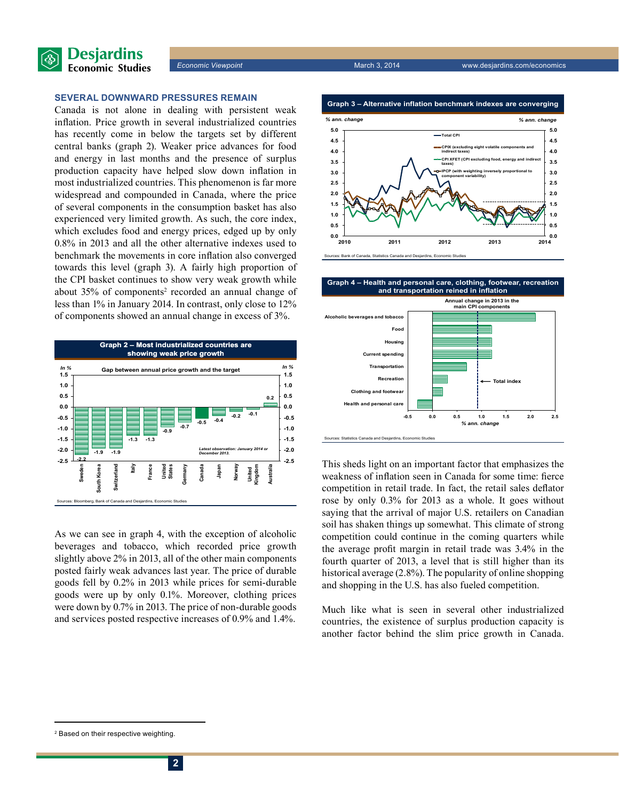

#### **Several downward pressures remain**

Canada is not alone in dealing with persistent weak inflation. Price growth in several industrialized countries has recently come in below the targets set by different central banks (graph 2). Weaker price advances for food and energy in last months and the presence of surplus production capacity have helped slow down inflation in most industrialized countries. This phenomenon is far more widespread and compounded in Canada, where the price of several components in the consumption basket has also experienced very limited growth. As such, the core index, which excludes food and energy prices, edged up by only 0.8% in 2013 and all the other alternative indexes used to benchmark the movements in core inflation also converged towards this level (graph 3). A fairly high proportion of the CPI basket continues to show very weak growth while about 35% of components<sup>2</sup> recorded an annual change of less than 1% in January 2014. In contrast, only close to 12% of components showed an annual change in excess of 3%.



As we can see in graph 4, with the exception of alcoholic beverages and tobacco, which recorded price growth slightly above 2% in 2013, all of the other main components posted fairly weak advances last year. The price of durable goods fell by 0.2% in 2013 while prices for semi-durable goods were up by only 0.1%. Moreover, clothing prices were down by 0.7% in 2013. The price of non-durable goods and services posted respective increases of 0.9% and 1.4%.



Sources: Bank of Canada, Statistics Canada and Desjardins, Economic Studies

**Graph 4 – Health and personal care, clothing, footwear, recreation and transportation reined in inflation**



This sheds light on an important factor that emphasizes the weakness of inflation seen in Canada for some time: fierce competition in retail trade. In fact, the retail sales deflator rose by only 0.3% for 2013 as a whole. It goes without saying that the arrival of major U.S. retailers on Canadian soil has shaken things up somewhat. This climate of strong competition could continue in the coming quarters while the average profit margin in retail trade was 3.4% in the fourth quarter of 2013, a level that is still higher than its historical average (2.8%). The popularity of online shopping and shopping in the U.S. has also fueled competition.

Much like what is seen in several other industrialized countries, the existence of surplus production capacity is another factor behind the slim price growth in Canada.

<sup>2</sup> Based on their respective weighting.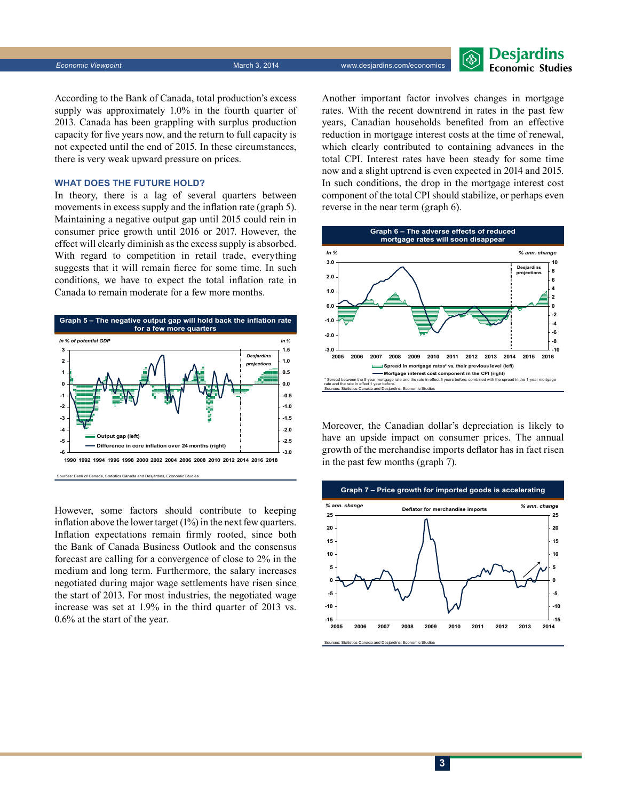*Economic Viewpoint* March 3, 2014 www.desjardins.com/economics

**Desjardins Economic Studies** 

According to the Bank of Canada, total production's excess supply was approximately 1.0% in the fourth quarter of 2013. Canada has been grappling with surplus production capacity for five years now, and the return to full capacity is not expected until the end of 2015. In these circumstances, there is very weak upward pressure on prices.

#### **What does the future hold?**

In theory, there is a lag of several quarters between movements in excess supply and the inflation rate (graph 5). Maintaining a negative output gap until 2015 could rein in consumer price growth until 2016 or 2017. However, the effect will clearly diminish as the excess supply is absorbed. With regard to competition in retail trade, everything suggests that it will remain fierce for some time. In such conditions, we have to expect the total inflation rate in Canada to remain moderate for a few more months.



However, some factors should contribute to keeping inflation above the lower target (1%) in the next few quarters. Inflation expectations remain firmly rooted, since both the Bank of Canada Business Outlook and the consensus forecast are calling for a convergence of close to 2% in the medium and long term. Furthermore, the salary increases negotiated during major wage settlements have risen since the start of 2013. For most industries, the negotiated wage increase was set at 1.9% in the third quarter of 2013 vs. 0.6% at the start of the year.

Another important factor involves changes in mortgage rates. With the recent downtrend in rates in the past few years, Canadian households benefited from an effective reduction in mortgage interest costs at the time of renewal, which clearly contributed to containing advances in the total CPI. Interest rates have been steady for some time now and a slight uptrend is even expected in 2014 and 2015. In such conditions, the drop in the mortgage interest cost component of the total CPI should stabilize, or perhaps even reverse in the near term (graph 6).



Moreover, the Canadian dollar's depreciation is likely to have an upside impact on consumer prices. The annual growth of the merchandise imports deflator has in fact risen in the past few months (graph 7).